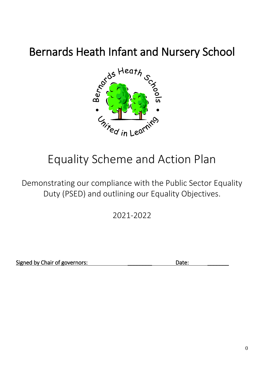# Bernards Heath Infant and Nursery School



# Equality Scheme and Action Plan

Demonstrating our compliance with the Public Sector Equality Duty (PSED) and outlining our Equality Objectives.

2021-2022

Signed by Chair of governors: <br>
Date: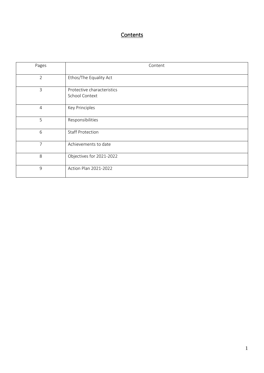# **Contents**

| Pages          | Content                                      |
|----------------|----------------------------------------------|
| $\overline{2}$ | Ethos/The Equality Act                       |
| 3              | Protective characteristics<br>School Context |
| $\overline{4}$ | Key Principles                               |
| 5              | Responsibilities                             |
| 6              | <b>Staff Protection</b>                      |
| 7              | Achievements to date                         |
| 8              | Objectives for 2021-2022                     |
| 9              | Action Plan 2021-2022                        |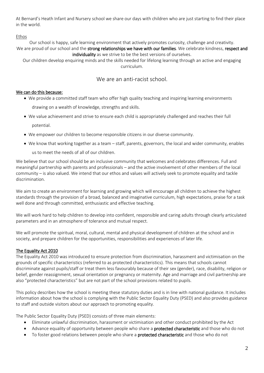At Bernard's Heath Infant and Nursery school we share our days with children who are just starting to find their place in the world.

#### Ethos

Our school is happy, safe learning environment that actively promotes curiosity, challenge and creativity. We are proud of our school and the strong relationships we have with our families. We celebrate kindness, respect and individuality as we strive to be the best versions of ourselves.

Our children develop enquiring minds and the skills needed for lifelong learning through an active and engaging curriculum.

### We are an anti-racist school.

#### We can do this because:

We provide a committed staff team who offer high quality teaching and inspiring learning environments

drawing on a wealth of knowledge, strengths and skills.

- We value achievement and strive to ensure each child is appropriately challenged and reaches their full potential.
- We empower our children to become responsible citizens in our diverse community.
- We know that working together as a team staff, parents, governors, the local and wider community, enables us to meet the needs of all of our children.

We believe that our school should be an inclusive community that welcomes and celebrates differences. Full and meaningful partnership with parents and professionals – and the active involvement of other members of the local community – is also valued. We intend that our ethos and values will actively seek to promote equality and tackle discrimination.

We aim to create an environment for learning and growing which will encourage all children to achieve the highest standards through the provision of a broad, balanced and imaginative curriculum, high expectations, praise for a task well done and through committed, enthusiastic and effective teaching.

We will work hard to help children to develop into confident, responsible and caring adults through clearly articulated parameters and in an atmosphere of tolerance and mutual respect.

We will promote the spiritual, moral, cultural, mental and physical development of children at the school and in society, and prepare children for the opportunities, responsibilities and experiences of later life.

#### The Equality Act 2010

The Equality Act 2010 was introduced to ensure protection from discrimination, harassment and victimisation on the grounds of specific characteristics (referred to as protected characteristics). This means that schools cannot discriminate against pupils/staff or treat them less favourably because of their sex (gender), race, disability, religion or belief, gender reassignment, sexual orientation or pregnancy or maternity. Age and marriage and civil partnership are also "protected characteristics" but are not part of the school provisions related to pupils.

This policy describes how the school is meeting these statutory duties and is in line with national guidance. It includes information about how the school is complying with the Public Sector Equality Duty (PSED) and also provides guidance to staff and outside visitors about our approach to promoting equality.

The Public Sector Equality Duty (PSED) consists of three main elements:

- Eliminate unlawful discrimination, harassment or victimisation and other conduct prohibited by the Act
- Advance equality of opportunity between people who share a **protected characteristic** and those who do not
- To foster good relations between people who share a **protected characteristic** and those who do not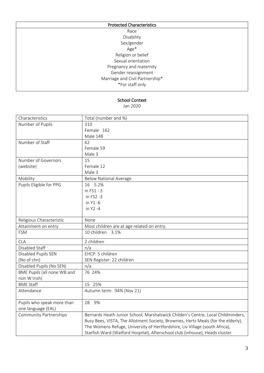| <b>Protected Characteristics</b> |  |
|----------------------------------|--|
| Race                             |  |
| Disability                       |  |
| Sex/gender                       |  |
| Age*                             |  |
| Religion or belief               |  |
| Sexual orientation               |  |
| Pregnancy and maternity          |  |
| Gender reassignment              |  |
| Marriage and Civil Partnership*  |  |
| *For staff only                  |  |
|                                  |  |

#### School Context

Jan 2020

| Characteristics               | Total (number and %)                                                              |  |  |  |  |  |
|-------------------------------|-----------------------------------------------------------------------------------|--|--|--|--|--|
| Number of Pupils              | 310                                                                               |  |  |  |  |  |
|                               | Female 162                                                                        |  |  |  |  |  |
|                               | Male 148                                                                          |  |  |  |  |  |
| Number of Staff               | 62                                                                                |  |  |  |  |  |
|                               | Female 59                                                                         |  |  |  |  |  |
|                               | Male 3                                                                            |  |  |  |  |  |
| Number of Governors           | 15                                                                                |  |  |  |  |  |
| (website)                     | Female 12                                                                         |  |  |  |  |  |
|                               | Male 3                                                                            |  |  |  |  |  |
| Mobility                      | <b>Below National Average</b>                                                     |  |  |  |  |  |
| Pupils Eligible for PPG       | 16 5.2%                                                                           |  |  |  |  |  |
|                               | in FS1 - 3                                                                        |  |  |  |  |  |
|                               | in FS2 -3                                                                         |  |  |  |  |  |
|                               | in Y1 -6                                                                          |  |  |  |  |  |
|                               | in Y2 -4                                                                          |  |  |  |  |  |
|                               |                                                                                   |  |  |  |  |  |
| Religious Characteristic      | None                                                                              |  |  |  |  |  |
| Attainment on entry           | Most children are at age related on entry.                                        |  |  |  |  |  |
| <b>FSM</b>                    | 10 children 3.1%                                                                  |  |  |  |  |  |
| <b>CLA</b>                    | 2 children                                                                        |  |  |  |  |  |
| Disabled Staff                | n/a                                                                               |  |  |  |  |  |
| Disabled Pupils SEN           | EHCP: 5 children                                                                  |  |  |  |  |  |
| (No of chn)                   | SEN Register: 22 children                                                         |  |  |  |  |  |
| Disabled Pupils (No SEN)      | n/a                                                                               |  |  |  |  |  |
| BME Pupils (all none WB and   | 76 24%                                                                            |  |  |  |  |  |
| non W Irish)                  |                                                                                   |  |  |  |  |  |
| <b>BME Staff</b>              | 15 25%                                                                            |  |  |  |  |  |
| Attendance                    | Autumn term: 94% (Nov 21)                                                         |  |  |  |  |  |
|                               |                                                                                   |  |  |  |  |  |
| Pupils who speak more than    | 28 9%                                                                             |  |  |  |  |  |
| one language (EAL)            |                                                                                   |  |  |  |  |  |
| <b>Community Partnerships</b> | Bernards Heath Junior School, Marshalswick Childen's Centre, Local Childminders,  |  |  |  |  |  |
|                               | Busy Bees, VISTA, The Allotment Society, Brownies, Herts Meals (for the elderly), |  |  |  |  |  |
|                               | The Womens Refuge, University of Hertfordshire, Liv Village (south Africa),       |  |  |  |  |  |
|                               | Starfish Ward (Watford Hospital), Afterschool club (inhouse), Heads cluster       |  |  |  |  |  |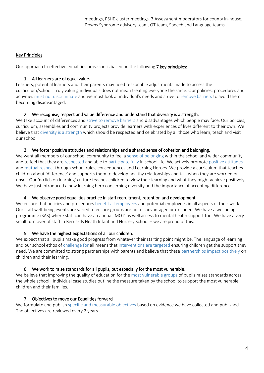| meetings, PSHE cluster meetings, 3 Assessment moderators for county in-house, |
|-------------------------------------------------------------------------------|
| Downs Syndrome advisory team, OT team, Speech and Language teams.             |

#### Key Principles

Our approach to effective equalities provision is based on the following 7 key principles:

#### 1. All learners are of equal value.

Learners, potential learners and their parents may need reasonable adjustments made to access the curriculum/school. Truly valuing individuals does not mean treating everyone the same. Our policies, procedures and activities must not discriminate and we must look at individual's needs and strive to remove barriers to avoid them becoming disadvantaged.

#### 2. We recognise, respect and value difference and understand that diversity is a strength.

We take account of differences and strive to remove barriers and disadvantages which people may face. Our policies, curriculum, assemblies and community projects provide learners with experiences of lives different to their own. We believe that diversity is a strength which should be respected and celebrated by all those who learn, teach and visit our school.

#### 3. We foster positive attitudes and relationships and a shared sense of cohesion and belonging.

We want all members of our school community to feel a sense of belonging within the school and wider community and to feel that they are respected and able to participate fully in school life. We actively promote positive attitudes and mutual respect through school rules, consequences and Learning Heroes. We provide a curriculum that teaches children about 'difference' and supports them to develop healthy relationships and talk when they are worried or upset. Our 'no lids on learning' culture teaches children to view their learning and what they might achieve positively. We have just introduced a new learning hero concerning diversity and the importance of accepting differences.

#### 4. We observe good equalities practice in staff recruitment, retention and development.

We ensure that policies and procedures benefit all employees and potential employees in all aspects of their work. Our staff well-being events are varied to ensure groups are not disadvantaged or excluded. We have a wellbeing programme (SAS) where staff can have an annual 'MOT' as well access to mental health support too. We have a very small turn over of staff in Bernards Heath Infant and Nursery School – we are proud of this.

#### 5. We have the highest expectations of all our children.

We expect that all pupils make good progress from whatever their starting point might be. The language of learning and our school ethos of challenge for all means that interventions are targeted ensuring children get the support they need. We are committed to strong partnerships with parents and believe that these partnerships impact positively on children and their learning.

#### 6. We work to raise standards for all pupils, but especially for the most vulnerable.

We believe that improving the quality of education for the most vulnerable groups of pupils raises standards across the whole school. Individual case studies outline the measure taken by the school to support the most vulnerable children and their families.

#### 7. Objectives to move our Equalities forward

We formulate and publish specific and measurable objectives based on evidence we have collected and published. The objectives are reviewed every 2 years.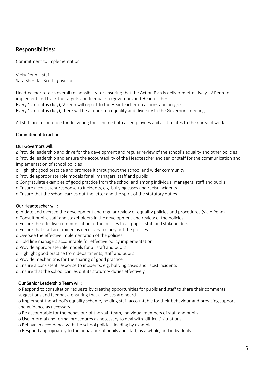## Responsibilities:

Commitment to Implementation

Vicky Penn – staff Sara Sherafat-Scott - governor

Headteacher retains overall responsibility for ensuring that the Action Plan is delivered effectively. V Penn to implement and track the targets and feedback to governors and Headteacher.

Every 12 months (July), V Penn will report to the Headteacher on actions and progress.

Every 12 months (July), there will be a report on equality and diversity to the Governors meeting.

All staff are responsible for delivering the scheme both as employees and as it relates to their area of work.

#### Commitment to action

#### Our Governors will:

o Provide leadership and drive for the development and regular review of the school's equality and other policies o Provide leadership and ensure the accountability of the Headteacher and senior staff for the communication and implementation of school policies

o Highlight good practice and promote it throughout the school and wider community

o Provide appropriate role models for all managers, staff and pupils

o Congratulate examples of good practice from the school and among individual managers, staff and pupils

o Ensure a consistent response to incidents, e.g. bullying cases and racist incidents

o Ensure that the school carries out the letter and the spirit of the statutory duties

#### Our Headteacher will:

o Initiate and oversee the development and regular review of equality policies and procedures (via V Penn)

o Consult pupils, staff and stakeholders in the development and review of the policies

o Ensure the effective communication of the policies to all pupils, staff and stakeholders

o Ensure that staff are trained as necessary to carry out the policies

o Oversee the effective implementation of the policies

o Hold line managers accountable for effective policy implementation

o Provide appropriate role models for all staff and pupils

o Highlight good practice from departments, staff and pupils

o Provide mechanisms for the sharing of good practice

o Ensure a consistent response to incidents, e.g. bullying cases and racist incidents

o Ensure that the school carries out its statutory duties effectively

#### Our Senior Leadership Team will:

o Respond to consultation requests by creating opportunities for pupils and staff to share their comments,

suggestions and feedback, ensuring that all voices are heard

o Implement the school's equality scheme, holding staff accountable for their behaviour and providing support and guidance as necessary

o Be accountable for the behaviour of the staff team, individual members of staff and pupils

o Use informal and formal procedures as necessary to deal with 'difficult' situations

o Behave in accordance with the school policies, leading by example

o Respond appropriately to the behaviour of pupils and staff, as a whole, and individuals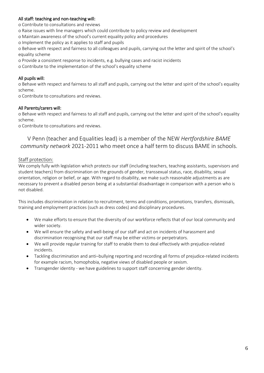#### All staff: teaching and non-teaching will:

o Contribute to consultations and reviews

- o Raise issues with line managers which could contribute to policy review and development
- o Maintain awareness of the school's current equality policy and procedures
- o Implement the policy as it applies to staff and pupils

o Behave with respect and fairness to all colleagues and pupils, carrying out the letter and spirit of the school's equality scheme

- o Provide a consistent response to incidents, e.g. bullying cases and racist incidents
- o Contribute to the implementation of the school's equality scheme

#### All pupils will:

o Behave with respect and fairness to all staff and pupils, carrying out the letter and spirit of the school's equality scheme.

o Contribute to consultations and reviews.

#### All Parents/carers will:

o Behave with respect and fairness to all staff and pupils, carrying out the letter and spirit of the school's equality scheme.

o Contribute to consultations and reviews.

### V Penn (teacher and Equalities lead) is a member of the NEW *Hertfordshire BAME community network* 2021-2011 who meet once a half term to discuss BAME in schools.

#### Staff protection:

We comply fully with legislation which protects our staff (including teachers, teaching assistants, supervisors and student teachers) from discrimination on the grounds of gender, transsexual status, race, disability, sexual orientation, religion or belief, or age. With regard to disability, we make such reasonable adjustments as are necessary to prevent a disabled person being at a substantial disadvantage in comparison with a person who is not disabled.

This includes discrimination in relation to recruitment, terms and conditions, promotions, transfers, dismissals, training and employment practices (such as dress codes) and disciplinary procedures.

- We make efforts to ensure that the diversity of our workforce reflects that of our local community and wider society.
- We will ensure the safety and well-being of our staff and act on incidents of harassment and discrimination recognising that our staff may be either victims or perpetrators.
- We will provide regular training for staff to enable them to deal effectively with prejudice-related incidents.
- Tackling discrimination and anti–bullying reporting and recording all forms of prejudice-related incidents for example racism, homophobia, negative views of disabled people or sexism.
- Transgender identity we have guidelines to support staff concerning gender identity.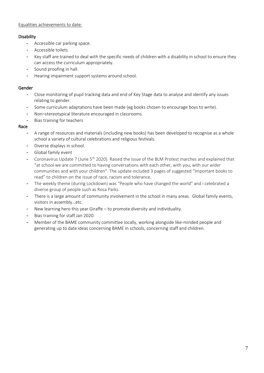#### Equalities achievements to date:

#### Disability

- Accessible car parking space.
- Accessible toilets.
- Key staff are trained to deal with the specific needs of children with a disability in school to ensure they can access the curriculum appropriately.
- Sound proofing in hall.
- Hearing impairment support systems around school.

#### Gender

- Close monitoring of pupil tracking data and end of Key Stage data to analyse and identify any issues relating to gender.
- Some curriculum adaptations have been made (eg books chosen to encourage boys to write).
- Non-stereotypical literature encouraged in classrooms.
- Bias training for teachers

#### Race

- A range of resources and materials (including new books) has been developed to recognise as a whole school a variety of cultural celebrations and religious festivals.
- Diverse displays in school.
- Global family event
- Coronavirus Update 7 (June  $5<sup>th</sup>$  2020). Raised the issue of the BLM Protest marches and explained that "at school we are committed to having conversations with each other, with you, with our wider communities and with your children". The update included 3 pages of suggested "Important books to read" to children on the issue of race, racism and tolerance.
- The weekly theme (during Lockdown) was "People who have changed the world" and i celebrated a diverse group of people such as Rosa Parks.
- There is a large amount of community involvement in the school in many areas. Global family events, visitors in assembly…etc.
- New learning hero this year Giraffe to promote diversity and individuality.
- Bias training for staff Jan 2020.
- Member of the BAME community committee locally, working alongside like-minded people and generating up to date ideas concerning BAME in schools, concerning staff and children.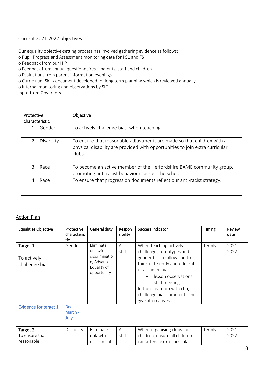#### Current 2021-2022 objectives

Our equality objective-setting process has involved gathering evidence as follows:

o Pupil Progress and Assessment monitoring data for KS1 and FS

- o Feedback from our HIP
- o Feedback from annual questionnaires parents, staff and children

o Evaluations from parent information evenings

o Curriculum Skills document developed for long term planning which is reviewed annually

o Internal monitoring and observations by SLT

Input from Governors

| Protective<br>characteristic | Objective                                                                                                                                                        |
|------------------------------|------------------------------------------------------------------------------------------------------------------------------------------------------------------|
| 1. Gender                    | To actively challenge bias' when teaching.                                                                                                                       |
| Disability<br>2.             | To ensure that reasonable adjustments are made so that children with a<br>physical disability are provided with opportunities to join extra curricular<br>clubs. |
| 3. Race                      | To become an active member of the Herfordshire BAME community group,<br>promoting anti-racist behaviours across the school.                                      |
| Race<br>4                    | To ensure that progression documents reflect our anti-racist strategy.                                                                                           |

#### Action Plan

| <b>Equalities Objective</b>                | Protective<br>characteris<br>tic | General duty                                                                       | Respon<br>sibility | <b>Success Indicator</b>                                                                                                                                                                                                                                             | Timing | Review<br>date   |
|--------------------------------------------|----------------------------------|------------------------------------------------------------------------------------|--------------------|----------------------------------------------------------------------------------------------------------------------------------------------------------------------------------------------------------------------------------------------------------------------|--------|------------------|
| Target 1<br>To actively<br>challenge bias. | Gender                           | Eliminate<br>unlawful<br>discriminatio<br>n, Advance<br>Equality of<br>opportunity | All<br>staff       | When teaching actively<br>challenge stereotypes and<br>gender bias to allow chn to<br>think differently about learnt<br>or assumed bias.<br>lesson observations<br>staff meetings<br>In the classroom with chn,<br>challenge bias comments and<br>give alternatives. | termly | $2021 -$<br>2022 |
| <b>Evidence for target 1</b>               | Dec-<br>March -<br>July -        |                                                                                    |                    |                                                                                                                                                                                                                                                                      |        |                  |
| Target 2<br>To ensure that<br>reasonable   | Disability                       | Eliminate<br>unlawful<br>discriminati                                              | All<br>staff       | When organising clubs for<br>children, ensure all children<br>can attend extra-curricular                                                                                                                                                                            | termly | $2021 -$<br>2022 |